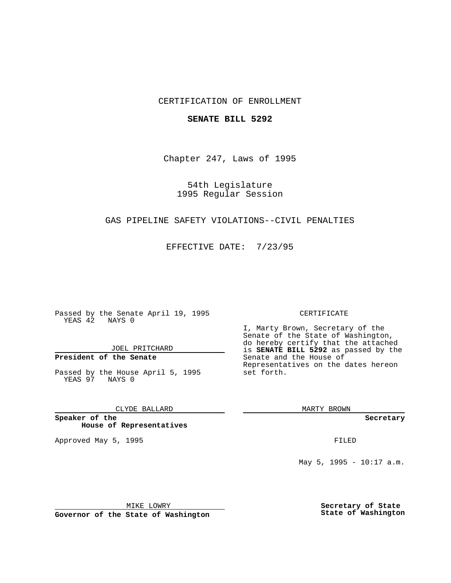#### CERTIFICATION OF ENROLLMENT

#### **SENATE BILL 5292**

Chapter 247, Laws of 1995

54th Legislature 1995 Regular Session

#### GAS PIPELINE SAFETY VIOLATIONS--CIVIL PENALTIES

EFFECTIVE DATE: 7/23/95

Passed by the Senate April 19, 1995 YEAS 42 NAYS 0

JOEL PRITCHARD

## **President of the Senate**

Passed by the House April 5, 1995 YEAS 97 NAYS 0

#### CLYDE BALLARD

**Speaker of the House of Representatives**

Approved May 5, 1995 **FILED** 

#### CERTIFICATE

I, Marty Brown, Secretary of the Senate of the State of Washington, do hereby certify that the attached is **SENATE BILL 5292** as passed by the Senate and the House of Representatives on the dates hereon set forth.

MARTY BROWN

**Secretary**

May 5, 1995 - 10:17 a.m.

MIKE LOWRY

**Governor of the State of Washington**

**Secretary of State State of Washington**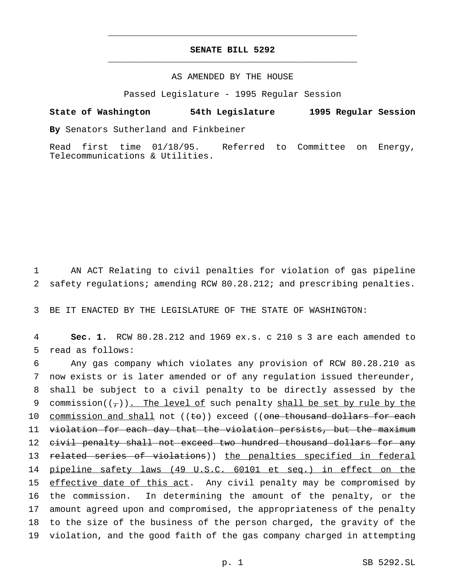### **SENATE BILL 5292** \_\_\_\_\_\_\_\_\_\_\_\_\_\_\_\_\_\_\_\_\_\_\_\_\_\_\_\_\_\_\_\_\_\_\_\_\_\_\_\_\_\_\_\_\_\_\_

\_\_\_\_\_\_\_\_\_\_\_\_\_\_\_\_\_\_\_\_\_\_\_\_\_\_\_\_\_\_\_\_\_\_\_\_\_\_\_\_\_\_\_\_\_\_\_

#### AS AMENDED BY THE HOUSE

Passed Legislature - 1995 Regular Session

# **State of Washington 54th Legislature 1995 Regular Session**

**By** Senators Sutherland and Finkbeiner

Read first time 01/18/95. Referred to Committee on Energy, Telecommunications & Utilities.

1 AN ACT Relating to civil penalties for violation of gas pipeline 2 safety regulations; amending RCW 80.28.212; and prescribing penalties.

3 BE IT ENACTED BY THE LEGISLATURE OF THE STATE OF WASHINGTON:

4 **Sec. 1.** RCW 80.28.212 and 1969 ex.s. c 210 s 3 are each amended to 5 read as follows:

6 Any gas company which violates any provision of RCW 80.28.210 as 7 now exists or is later amended or of any regulation issued thereunder, 8 shall be subject to a civil penalty to be directly assessed by the 9 commission( $(\tau)$ ). The level of such penalty shall be set by rule by the 10 commission and shall not  $((\epsilon e))$  exceed  $((\epsilon e)$  thousand dollars for each 11 violation for each day that the violation persists, but the maximum 12 civil penalty shall not exceed two hundred thousand dollars for any 13 related series of violations)) the penalties specified in federal 14 pipeline safety laws (49 U.S.C. 60101 et seq.) in effect on the 15 effective date of this act. Any civil penalty may be compromised by 16 the commission. In determining the amount of the penalty, or the 17 amount agreed upon and compromised, the appropriateness of the penalty 18 to the size of the business of the person charged, the gravity of the 19 violation, and the good faith of the gas company charged in attempting